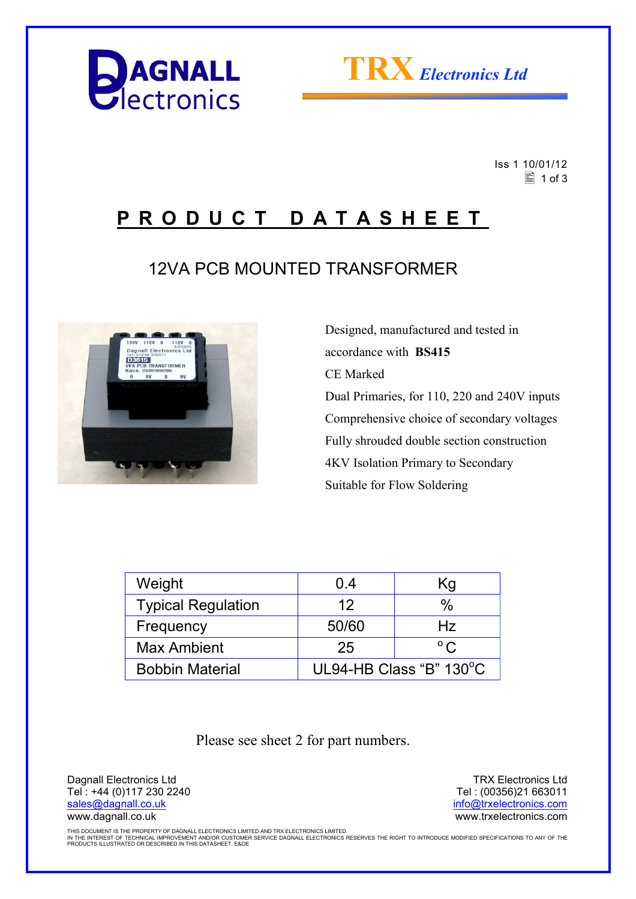



 Iss 1 10/01/12  $\equiv$  1 of 3

# **P R O D U C T D A T A S H E E T**

## 12VA PCB MOUNTED TRANSFORMER



 Designed, manufactured and tested in accordance with **BS415**  CE Marked Dual Primaries, for 110, 220 and 240V inputs Comprehensive choice of secondary voltages Fully shrouded double section construction 4KV Isolation Primary to Secondary Suitable for Flow Soldering

| Weight                    | 0.4                     | Κg           |
|---------------------------|-------------------------|--------------|
| <b>Typical Regulation</b> | 12                      | $\%$         |
| Frequency                 | 50/60                   | Hz           |
| <b>Max Ambient</b>        | 25                      | $^{\circ}$ C |
| <b>Bobbin Material</b>    | UL94-HB Class "B" 130°C |              |

Please see sheet 2 for part numbers.

Dagnall Electronics Ltd Tel : +44 (0)117 230 2240 sales@dagnall.co.uk www.dagnall.co.uk

TRX Electronics Ltd Tel : (00356)21 663011 info@trxelectronics.com www.trxelectronics.com

THIS DOCUMENT IS THE PROPERTY OF DAGNALL ELECTRONICS LIMITED AND TRX ELECTRONICS LIMITED.<br>IN THE INTEREST OF TECHNICAL IMPROVEMENT AND/OR CUSTOMER SERVICE DAGNALL ELECTRONICS RESERVES THE RIGHT TO INTRODUCE MODIFIED SPECIF PRODUCTS ILLUSTRATED OR DESCRIBED IN THIS DATASHEET. E&OE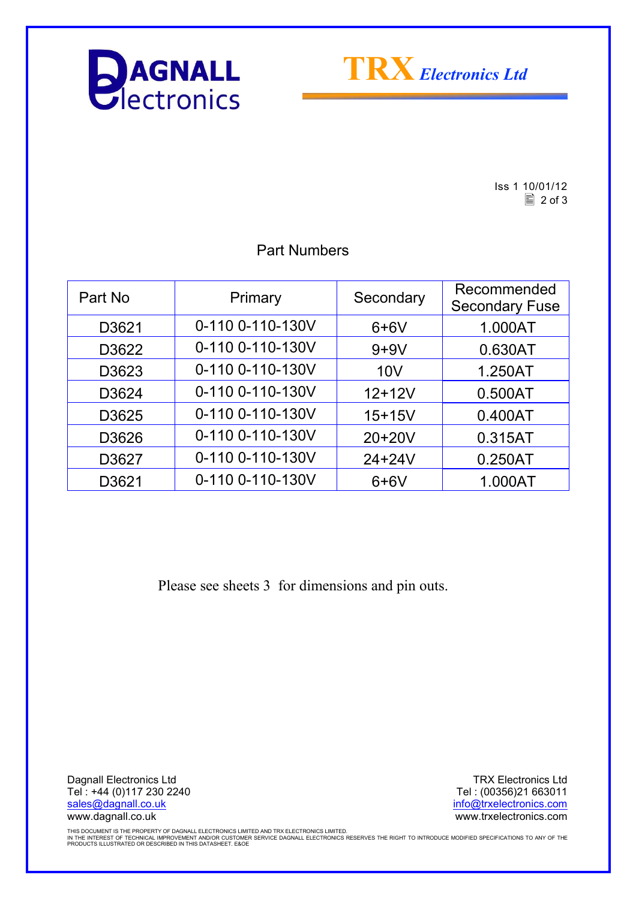



Iss 1 10/01/12  $\boxed{2}$  of 3

### Part Numbers

| Part No | Primary          | Secondary  | Recommended<br><b>Secondary Fuse</b> |
|---------|------------------|------------|--------------------------------------|
| D3621   | 0-110 0-110-130V | $6+6V$     | 1.000AT                              |
| D3622   | 0-110 0-110-130V | $9+9V$     | 0.630AT                              |
| D3623   | 0-110 0-110-130V | 10V        | 1.250AT                              |
| D3624   | 0-110 0-110-130V | $12+12V$   | 0.500AT                              |
| D3625   | 0-110 0-110-130V | $15+15V$   | 0.400AT                              |
| D3626   | 0-110 0-110-130V | $20+20V$   | 0.315AT                              |
| D3627   | 0-110 0-110-130V | $24 + 24V$ | 0.250AT                              |
| D3621   | 0-110 0-110-130V | $6+6V$     | 1.000AT                              |

Please see sheets 3 for dimensions and pin outs.

Dagnall Electronics Ltd Tel : +44 (0)117 230 2240 sales@dagnall.co.uk www.dagnall.co.uk

TRX Electronics Ltd Tel : (00356)21 663011 info@trxelectronics.com www.trxelectronics.com

THIS DOCUMENT IS THE PROPERTY OF DAGNALL ELECTRONICS LIMITED AND TRX ELECTRONICS LIMITED.<br>IN THE INTEREST OF TECHNICAL IMPROVEMENT AND/OR CUSTOMER SERVICE DAGNALL ELECTRONICS RESERVES THE RIGHT TO INTRODUCE MODIFIED SPECIF